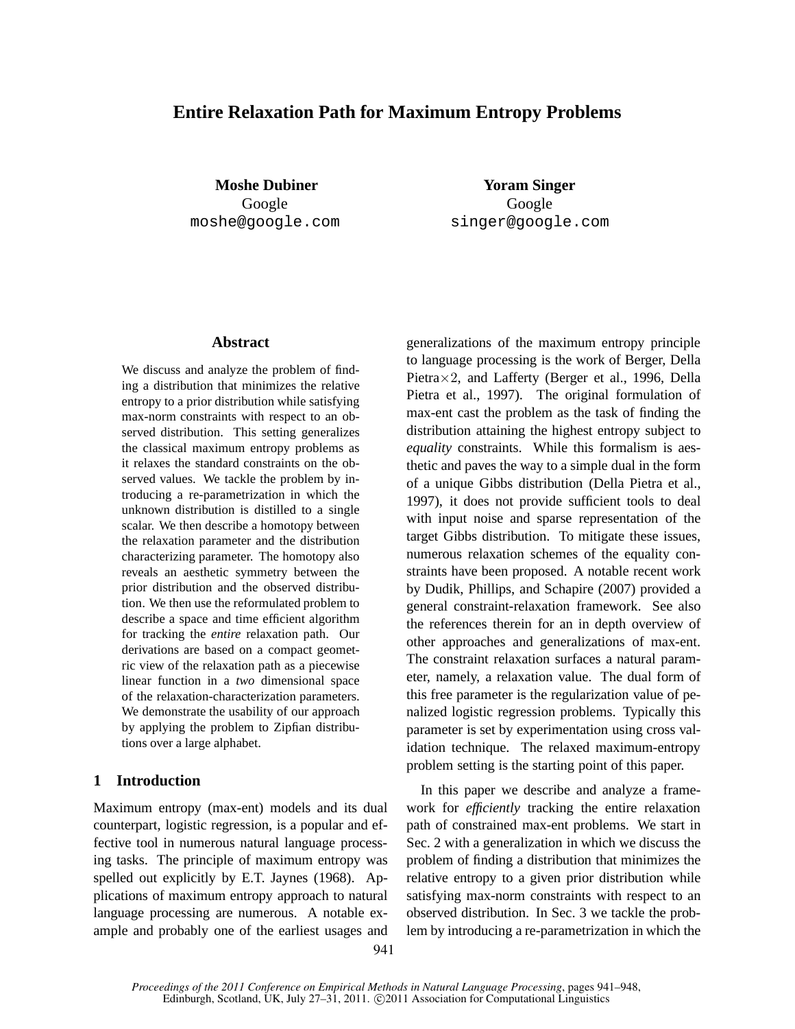## **Entire Relaxation Path for Maximum Entropy Problems**

**Moshe Dubiner** Google moshe@google.com

**Yoram Singer** Google singer@google.com

## **Abstract**

We discuss and analyze the problem of finding a distribution that minimizes the relative entropy to a prior distribution while satisfying max-norm constraints with respect to an observed distribution. This setting generalizes the classical maximum entropy problems as it relaxes the standard constraints on the observed values. We tackle the problem by introducing a re-parametrization in which the unknown distribution is distilled to a single scalar. We then describe a homotopy between the relaxation parameter and the distribution characterizing parameter. The homotopy also reveals an aesthetic symmetry between the prior distribution and the observed distribution. We then use the reformulated problem to describe a space and time efficient algorithm for tracking the *entire* relaxation path. Our derivations are based on a compact geometric view of the relaxation path as a piecewise linear function in a *two* dimensional space of the relaxation-characterization parameters. We demonstrate the usability of our approach by applying the problem to Zipfian distributions over a large alphabet.

## **1 Introduction**

Maximum entropy (max-ent) models and its dual counterpart, logistic regression, is a popular and effective tool in numerous natural language processing tasks. The principle of maximum entropy was spelled out explicitly by E.T. Jaynes (1968). Applications of maximum entropy approach to natural language processing are numerous. A notable example and probably one of the earliest usages and generalizations of the maximum entropy principle to language processing is the work of Berger, Della Pietra×2, and Lafferty (Berger et al., 1996, Della Pietra et al., 1997). The original formulation of max-ent cast the problem as the task of finding the distribution attaining the highest entropy subject to *equality* constraints. While this formalism is aesthetic and paves the way to a simple dual in the form of a unique Gibbs distribution (Della Pietra et al., 1997), it does not provide sufficient tools to deal with input noise and sparse representation of the target Gibbs distribution. To mitigate these issues, numerous relaxation schemes of the equality constraints have been proposed. A notable recent work by Dudik, Phillips, and Schapire (2007) provided a general constraint-relaxation framework. See also the references therein for an in depth overview of other approaches and generalizations of max-ent. The constraint relaxation surfaces a natural parameter, namely, a relaxation value. The dual form of this free parameter is the regularization value of penalized logistic regression problems. Typically this parameter is set by experimentation using cross validation technique. The relaxed maximum-entropy problem setting is the starting point of this paper.

In this paper we describe and analyze a framework for *efficiently* tracking the entire relaxation path of constrained max-ent problems. We start in Sec. 2 with a generalization in which we discuss the problem of finding a distribution that minimizes the relative entropy to a given prior distribution while satisfying max-norm constraints with respect to an observed distribution. In Sec. 3 we tackle the problem by introducing a re-parametrization in which the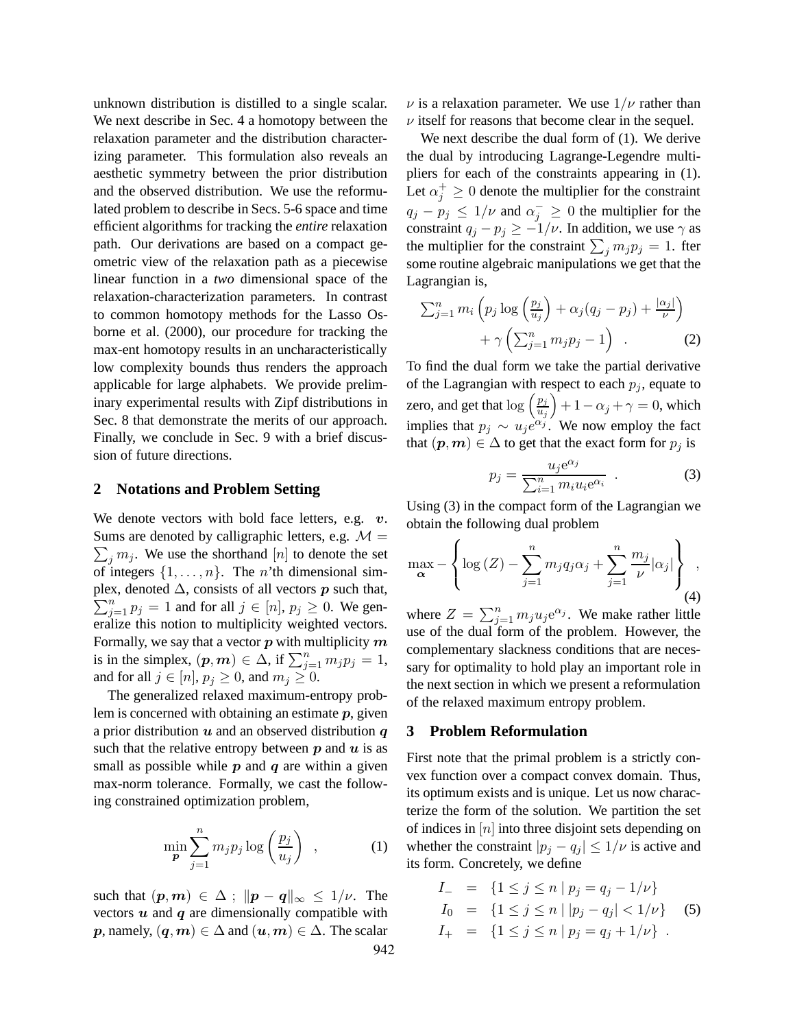unknown distribution is distilled to a single scalar. We next describe in Sec. 4 a homotopy between the relaxation parameter and the distribution characterizing parameter. This formulation also reveals an aesthetic symmetry between the prior distribution and the observed distribution. We use the reformulated problem to describe in Secs. 5-6 space and time efficient algorithms for tracking the *entire* relaxation path. Our derivations are based on a compact geometric view of the relaxation path as a piecewise linear function in a *two* dimensional space of the relaxation-characterization parameters. In contrast to common homotopy methods for the Lasso Osborne et al. (2000), our procedure for tracking the max-ent homotopy results in an uncharacteristically low complexity bounds thus renders the approach applicable for large alphabets. We provide preliminary experimental results with Zipf distributions in Sec. 8 that demonstrate the merits of our approach. Finally, we conclude in Sec. 9 with a brief discussion of future directions.

#### **2 Notations and Problem Setting**

We denote vectors with bold face letters, e.g.  $v$ . Sums are denoted by calligraphic letters, e.g.  $\mathcal{M} =$  $\sum_j m_j$ . We use the shorthand [n] to denote the set of integers  $\{1, \ldots, n\}$ . The *n*'th dimensional simplex, denoted  $\Delta$ , consists of all vectors  $\boldsymbol{p}$  such that,  $\sum_{j=1}^{n} p_j = 1$  and for all  $j \in [n]$ ,  $p_j \ge 0$ . We generalize this notion to multiplicity weighted vectors. Formally, we say that a vector  $p$  with multiplicity  $m$ is in the simplex,  $(p, m) \in \Delta$ , if  $\sum_{j=1}^{n} m_j p_j = 1$ , and for all  $j \in [n]$ ,  $p_j \ge 0$ , and  $m_j \ge 0$ .

The generalized relaxed maximum-entropy problem is concerned with obtaining an estimate  $p$ , given a prior distribution  $u$  and an observed distribution  $q$ such that the relative entropy between  $p$  and  $u$  is as small as possible while  $p$  and  $q$  are within a given max-norm tolerance. Formally, we cast the following constrained optimization problem,

$$
\min_{\boldsymbol{p}} \sum_{j=1}^{n} m_j p_j \log \left(\frac{p_j}{u_j}\right) , \qquad (1)
$$

such that  $(p,m) \in \Delta$ ;  $\|p - q\|_{\infty} \leq 1/\nu$ . The vectors  $u$  and  $q$  are dimensionally compatible with p, namely,  $(q, m) \in \Delta$  and  $(u, m) \in \Delta$ . The scalar 942  $\nu$  is a relaxation parameter. We use  $1/\nu$  rather than  $\nu$  itself for reasons that become clear in the sequel.

We next describe the dual form of  $(1)$ . We derive the dual by introducing Lagrange-Legendre multipliers for each of the constraints appearing in (1). Let  $\alpha_j^+ \geq 0$  denote the multiplier for the constraint  $q_j - p_j \leq 1/\nu$  and  $\alpha_j^- \geq 0$  the multiplier for the constraint  $q_j - p_j \ge -1/\nu$ . In addition, we use  $\gamma$  as the multiplier for the constraint  $\sum_j m_j p_j = 1$ . fter some routine algebraic manipulations we get that the Lagrangian is,

$$
\sum_{j=1}^{n} m_i \left( p_j \log \left( \frac{p_j}{u_j} \right) + \alpha_j (q_j - p_j) + \frac{|\alpha_j|}{\nu} \right) + \gamma \left( \sum_{j=1}^{n} m_j p_j - 1 \right) \quad . \tag{2}
$$

To find the dual form we take the partial derivative of the Lagrangian with respect to each  $p_j$ , equate to zero, and get that  $\log\left(\frac{p_j}{p_j}\right)$  $\overline{u_j}$  $+ 1 - \alpha_j + \gamma = 0$ , which implies that  $p_j \sim u_j e^{\alpha_j}$ . We now employ the fact that  $(p,m) \in \Delta$  to get that the exact form for  $p_j$  is

$$
p_j = \frac{u_j e^{\alpha_j}}{\sum_{i=1}^n m_i u_i e^{\alpha_i}} \tag{3}
$$

Using (3) in the compact form of the Lagrangian we obtain the following dual problem

$$
\max_{\mathbf{\alpha}} - \left\{ \log \left( Z \right) - \sum_{j=1}^{n} m_j q_j \alpha_j + \sum_{j=1}^{n} \frac{m_j}{\nu} |\alpha_j| \right\},\tag{4}
$$

where  $Z = \sum_{j=1}^{n} m_j u_j e^{\alpha_j}$ . We make rather little use of the dual form of the problem. However, the complementary slackness conditions that are necessary for optimality to hold play an important role in the next section in which we present a reformulation of the relaxed maximum entropy problem.

#### **3 Problem Reformulation**

First note that the primal problem is a strictly convex function over a compact convex domain. Thus, its optimum exists and is unique. Let us now characterize the form of the solution. We partition the set of indices in  $[n]$  into three disjoint sets depending on whether the constraint  $|p_j - q_j| \leq 1/\nu$  is active and its form. Concretely, we define

$$
I_{-} = \{1 \leq j \leq n \mid p_{j} = q_{j} - 1/\nu\}
$$
  
\n
$$
I_{0} = \{1 \leq j \leq n \mid |p_{j} - q_{j}| < 1/\nu\}
$$
 (5)  
\n
$$
I_{+} = \{1 \leq j \leq n \mid p_{j} = q_{j} + 1/\nu\}.
$$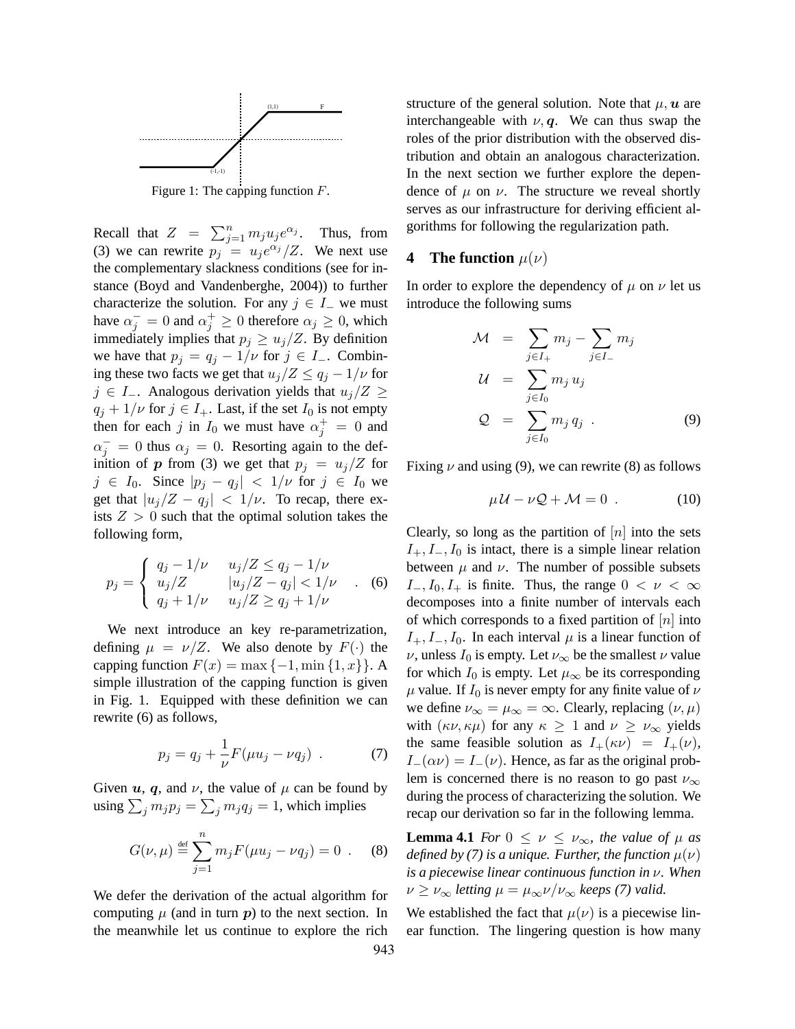

Figure 1: The capping function  $F$ .

Recall that  $Z = \sum_{j=1}^n m_j u_j e^{\alpha_j}$ . Thus, from (3) we can rewrite  $p_j = u_j e^{\alpha_j} / Z$ . We next use the complementary slackness conditions (see for instance (Boyd and Vandenberghe, 2004)) to further characterize the solution. For any  $j \in I$  we must have  $\alpha_j^- = 0$  and  $\alpha_j^+ \ge 0$  therefore  $\alpha_j \ge 0$ , which immediately implies that  $p_j \geq u_j/Z$ . By definition we have that  $p_j = q_j - 1/\nu$  for  $j \in I_-\$ . Combining these two facts we get that  $u_j/Z \leq q_j - 1/\nu$  for  $j \in I_-.$  Analogous derivation yields that  $u_j/Z \geq$  $q_i + 1/\nu$  for  $j \in I_+$ . Last, if the set  $I_0$  is not empty then for each j in  $I_0$  we must have  $\alpha_j^+ = 0$  and  $\alpha_j^- = 0$  thus  $\alpha_j = 0$ . Resorting again to the definition of p from (3) we get that  $p_i = u_j/Z$  for  $j \in I_0$ . Since  $|p_j - q_j| < 1/\nu$  for  $j \in I_0$  we get that  $|u_j/Z - q_j| < 1/\nu$ . To recap, there exists  $Z > 0$  such that the optimal solution takes the following form,

$$
p_j = \begin{cases} q_j - 1/\nu & u_j/Z \le q_j - 1/\nu \\ u_j/Z & |u_j/Z - q_j| < 1/\nu \\ q_j + 1/\nu & u_j/Z \ge q_j + 1/\nu \end{cases}
$$
 (6)

We next introduce an key re-parametrization, defining  $\mu = \nu/Z$ . We also denote by  $F(\cdot)$  the capping function  $F(x) = \max\{-1, \min\{1, x\}\}\.$  A simple illustration of the capping function is given in Fig. 1. Equipped with these definition we can rewrite (6) as follows,

$$
p_j = q_j + \frac{1}{\nu} F(\mu u_j - \nu q_j) \ . \tag{7}
$$

Given  $u$ ,  $q$ , and  $\nu$ , the value of  $\mu$  can be found by using  $\sum_j m_j p_j = \sum_j m_j q_j = 1$ , which implies

$$
G(\nu,\mu) \stackrel{\text{def}}{=} \sum_{j=1}^{n} m_j F(\mu u_j - \nu q_j) = 0 \quad . \quad (8)
$$

We defer the derivation of the actual algorithm for computing  $\mu$  (and in turn  $p$ ) to the next section. In the meanwhile let us continue to explore the rich structure of the general solution. Note that  $\mu$ ,  $\boldsymbol{u}$  are interchangeable with  $\nu, q$ . We can thus swap the roles of the prior distribution with the observed distribution and obtain an analogous characterization. In the next section we further explore the dependence of  $\mu$  on  $\nu$ . The structure we reveal shortly serves as our infrastructure for deriving efficient algorithms for following the regularization path.

## **4** The function  $\mu(\nu)$

In order to explore the dependency of  $\mu$  on  $\nu$  let us introduce the following sums

$$
\mathcal{M} = \sum_{j \in I_+} m_j - \sum_{j \in I_-} m_j
$$
  
\n
$$
\mathcal{U} = \sum_{j \in I_0} m_j u_j
$$
  
\n
$$
\mathcal{Q} = \sum_{j \in I_0} m_j q_j .
$$
  
\n(9)

Fixing  $\nu$  and using (9), we can rewrite (8) as follows

$$
\mu \mathcal{U} - \nu \mathcal{Q} + \mathcal{M} = 0 \tag{10}
$$

Clearly, so long as the partition of  $[n]$  into the sets  $I_+, I_-, I_0$  is intact, there is a simple linear relation between  $\mu$  and  $\nu$ . The number of possible subsets  $I_-, I_0, I_+$  is finite. Thus, the range  $0 < \nu < \infty$ decomposes into a finite number of intervals each of which corresponds to a fixed partition of  $[n]$  into  $I_+, I_-, I_0$ . In each interval  $\mu$  is a linear function of  $\nu$ , unless  $I_0$  is empty. Let  $\nu_{\infty}$  be the smallest  $\nu$  value for which  $I_0$  is empty. Let  $\mu_{\infty}$  be its corresponding  $\mu$  value. If  $I_0$  is never empty for any finite value of  $\nu$ we define  $\nu_{\infty} = \mu_{\infty} = \infty$ . Clearly, replacing  $(\nu, \mu)$ with  $(\kappa \nu, \kappa \mu)$  for any  $\kappa \geq 1$  and  $\nu \geq \nu_{\infty}$  yields the same feasible solution as  $I_+(\kappa \nu) = I_+(\nu)$ ,  $I_-(\alpha \nu) = I_-(\nu)$ . Hence, as far as the original problem is concerned there is no reason to go past  $\nu_{\infty}$ during the process of characterizing the solution. We recap our derivation so far in the following lemma.

**Lemma 4.1** *For*  $0 \leq \nu \leq \nu_{\infty}$ *, the value of*  $\mu$  *as defined by (7) is a unique. Further, the function*  $\mu(\nu)$ *is a piecewise linear continuous function in* ν*. When*  $\nu \geq \nu_{\infty}$  *letting*  $\mu = \mu_{\infty} \nu / \nu_{\infty}$  *keeps (7) valid.* 

We established the fact that  $\mu(\nu)$  is a piecewise linear function. The lingering question is how many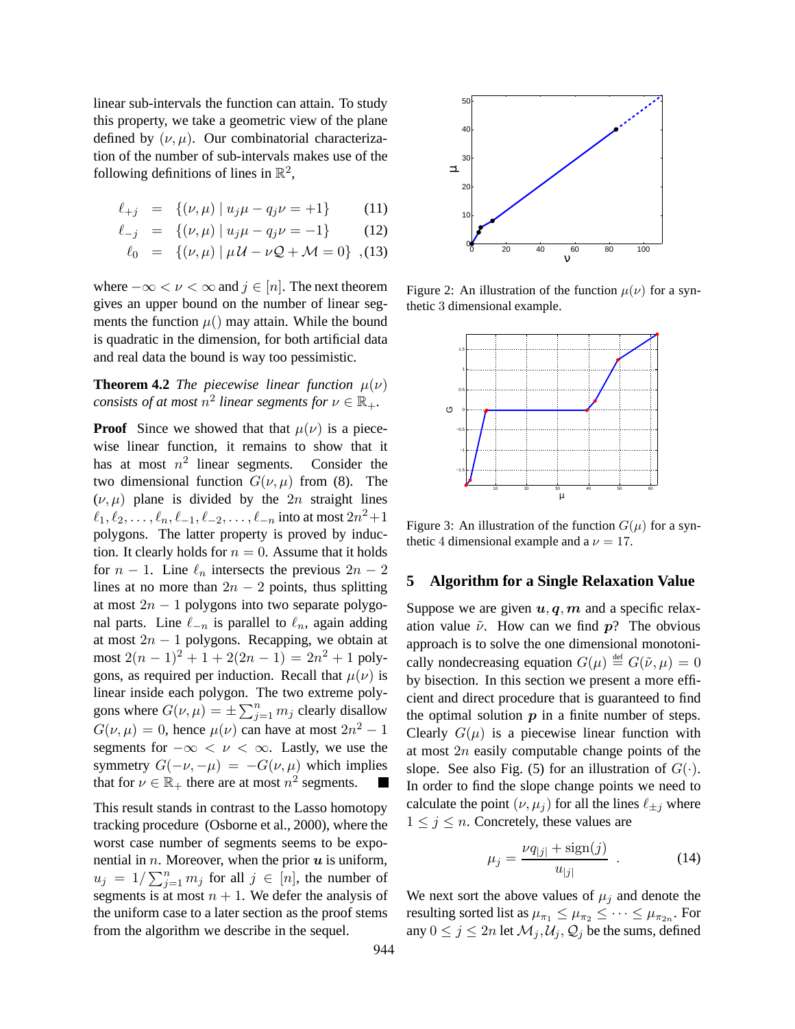linear sub-intervals the function can attain. To study this property, we take a geometric view of the plane defined by  $(\nu, \mu)$ . Our combinatorial characterization of the number of sub-intervals makes use of the following definitions of lines in  $\mathbb{R}^2$ ,

$$
\ell_{+j} = \{ (\nu, \mu) \mid u_j \mu - q_j \nu = +1 \} \tag{11}
$$

$$
\ell_{-j} = \{ (\nu, \mu) \mid u_j \mu - q_j \nu = -1 \} \tag{12}
$$

$$
\ell_0 = \{ (\nu, \mu) \mid \mu \mathcal{U} - \nu \mathcal{Q} + \mathcal{M} = 0 \},
$$
 (13)

where  $-\infty < \nu < \infty$  and  $j \in [n]$ . The next theorem gives an upper bound on the number of linear segments the function  $\mu$ () may attain. While the bound is quadratic in the dimension, for both artificial data and real data the bound is way too pessimistic.

# **Theorem 4.2** *The piecewise linear function*  $\mu(\nu)$ *consists of at most*  $n^2$  *linear segments for*  $\nu \in \mathbb{R}_+$ *.*

**Proof** Since we showed that that  $\mu(\nu)$  is a piecewise linear function, it remains to show that it has at most  $n^2$  linear segments. Consider the two dimensional function  $G(\nu, \mu)$  from (8). The  $(\nu, \mu)$  plane is divided by the 2n straight lines  $\ell_1, \ell_2, \ldots, \ell_n, \ell_{-1}, \ell_{-2}, \ldots, \ell_{-n}$  into at most  $2n^2+1$ polygons. The latter property is proved by induction. It clearly holds for  $n = 0$ . Assume that it holds for  $n - 1$ . Line  $\ell_n$  intersects the previous  $2n - 2$ lines at no more than  $2n - 2$  points, thus splitting at most  $2n - 1$  polygons into two separate polygonal parts. Line  $\ell_{-n}$  is parallel to  $\ell_n$ , again adding at most  $2n - 1$  polygons. Recapping, we obtain at most  $2(n-1)^2 + 1 + 2(2n - 1) = 2n^2 + 1$  polygons, as required per induction. Recall that  $\mu(\nu)$  is linear inside each polygon. The two extreme polygons where  $G(\nu,\mu) = \pm \sum_{j=1}^{n} m_j$  clearly disallow  $G(\nu,\mu) = 0$ , hence  $\mu(\nu)$  can have at most  $2n^2 - 1$ segments for  $-\infty < \nu < \infty$ . Lastly, we use the symmetry  $G(-\nu, -\mu) = -G(\nu, \mu)$  which implies that for  $\nu \in \mathbb{R}_+$  there are at most  $n^2$  segments.

This result stands in contrast to the Lasso homotopy tracking procedure (Osborne et al., 2000), where the worst case number of segments seems to be exponential in  $n$ . Moreover, when the prior  $u$  is uniform,  $u_j = 1/\sum_{j=1}^n m_j$  for all  $j \in [n]$ , the number of segments is at most  $n + 1$ . We defer the analysis of the uniform case to a later section as the proof stems from the algorithm we describe in the sequel.



Figure 2: An illustration of the function  $\mu(\nu)$  for a synthetic 3 dimensional example.



Figure 3: An illustration of the function  $G(\mu)$  for a synthetic 4 dimensional example and a  $\nu = 17$ .

#### **5 Algorithm for a Single Relaxation Value**

Suppose we are given  $u, q, m$  and a specific relaxation value  $\tilde{\nu}$ . How can we find  $p$ ? The obvious approach is to solve the one dimensional monotonically nondecreasing equation  $G(\mu) \stackrel{\text{def}}{=} G(\tilde{\nu}, \mu) = 0$ by bisection. In this section we present a more efficient and direct procedure that is guaranteed to find the optimal solution  $p$  in a finite number of steps. Clearly  $G(\mu)$  is a piecewise linear function with at most  $2n$  easily computable change points of the slope. See also Fig. (5) for an illustration of  $G(\cdot)$ . In order to find the slope change points we need to calculate the point  $(\nu, \mu_i)$  for all the lines  $\ell_{\pm i}$  where  $1 \leq j \leq n$ . Concretely, these values are

$$
\mu_j = \frac{\nu q_{|j|} + \text{sign}(j)}{u_{|j|}} \tag{14}
$$

We next sort the above values of  $\mu_j$  and denote the resulting sorted list as  $\mu_{\pi_1} \leq \mu_{\pi_2} \leq \cdots \leq \mu_{\pi_{2n}}$ . For any  $0 \leq j \leq 2n$  let  $\mathcal{M}_j, \mathcal{U}_j, \mathcal{Q}_j$  be the sums, defined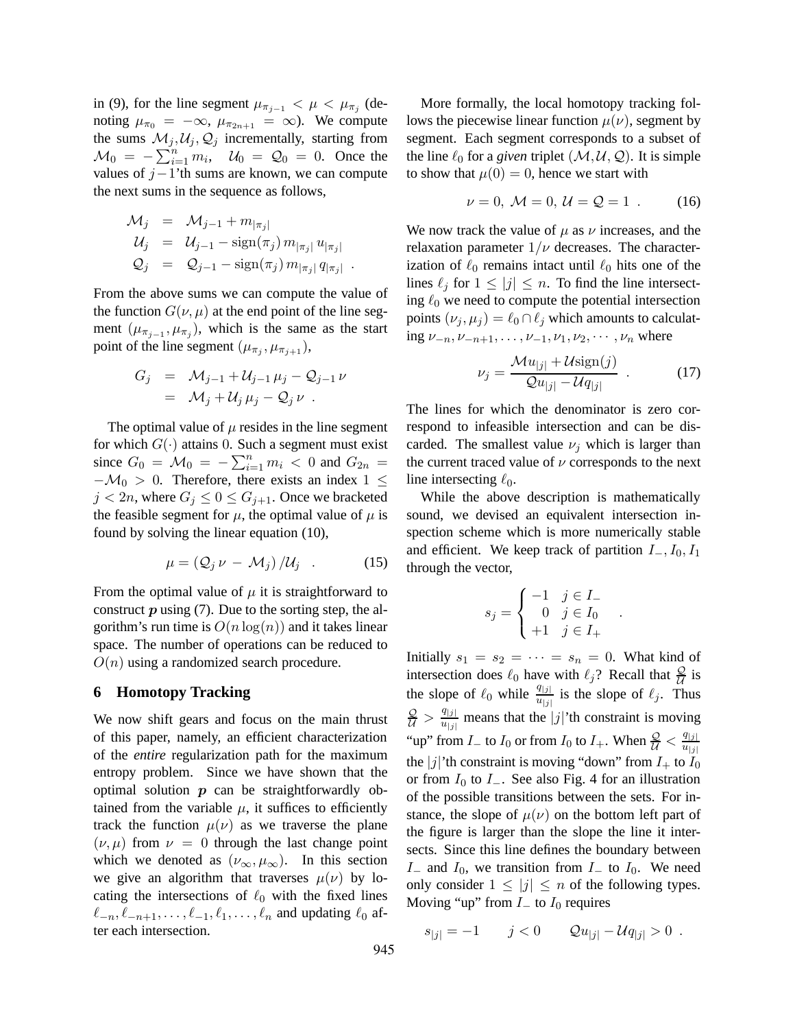in (9), for the line segment  $\mu_{\pi_{j-1}} < \mu < \mu_{\pi_j}$  (denoting  $\mu_{\pi_0} = -\infty$ ,  $\mu_{\pi_{2n+1}} = \infty$ ). We compute the sums  $\mathcal{M}_j, \mathcal{U}_j, \mathcal{Q}_j$  incrementally, starting from  $\mathcal{M}_0 = -\sum_{i=1}^n m_i$ ,  $\mathcal{U}_0 = \mathcal{Q}_0 = 0$ . Once the values of  $j-1$ 'th sums are known, we can compute the next sums in the sequence as follows,

$$
\mathcal{M}_j = \mathcal{M}_{j-1} + m_{|\pi_j|} \n\mathcal{U}_j = \mathcal{U}_{j-1} - \text{sign}(\pi_j) m_{|\pi_j|} u_{|\pi_j|} \n\mathcal{Q}_j = \mathcal{Q}_{j-1} - \text{sign}(\pi_j) m_{|\pi_j|} q_{|\pi_j|}.
$$

From the above sums we can compute the value of the function  $G(\nu,\mu)$  at the end point of the line segment  $(\mu_{\pi_{j-1}}, \mu_{\pi_j})$ , which is the same as the start point of the line segment  $(\mu_{\pi_j}, \mu_{\pi_{j+1}})$ ,

$$
G_j = \mathcal{M}_{j-1} + \mathcal{U}_{j-1} \mu_j - \mathcal{Q}_{j-1} \nu
$$
  
= 
$$
\mathcal{M}_j + \mathcal{U}_j \mu_j - \mathcal{Q}_j \nu
$$
.

The optimal value of  $\mu$  resides in the line segment for which  $G(\cdot)$  attains 0. Such a segment must exist since  $G_0 = \mathcal{M}_0 = -\sum_{i=1}^n m_i < 0$  and  $G_{2n} =$  $-\mathcal{M}_0 > 0$ . Therefore, there exists an index 1  $\leq$  $j < 2n$ , where  $G_j \leq 0 \leq G_{j+1}$ . Once we bracketed the feasible segment for  $\mu$ , the optimal value of  $\mu$  is found by solving the linear equation (10),

$$
\mu = \left( \mathcal{Q}_j \, \nu - \mathcal{M}_j \right) / \mathcal{U}_j \quad . \tag{15}
$$

From the optimal value of  $\mu$  it is straightforward to construct  $p$  using (7). Due to the sorting step, the algorithm's run time is  $O(n \log(n))$  and it takes linear space. The number of operations can be reduced to  $O(n)$  using a randomized search procedure.

#### **6 Homotopy Tracking**

We now shift gears and focus on the main thrust of this paper, namely, an efficient characterization of the *entire* regularization path for the maximum entropy problem. Since we have shown that the optimal solution  $p$  can be straightforwardly obtained from the variable  $\mu$ , it suffices to efficiently track the function  $\mu(\nu)$  as we traverse the plane  $(\nu, \mu)$  from  $\nu = 0$  through the last change point which we denoted as  $(\nu_{\infty}, \mu_{\infty})$ . In this section we give an algorithm that traverses  $\mu(\nu)$  by locating the intersections of  $\ell_0$  with the fixed lines  $\ell_{-n}, \ell_{-n+1}, \ldots, \ell_{-1}, \ell_1, \ldots, \ell_n$  and updating  $\ell_0$  after each intersection.

More formally, the local homotopy tracking follows the piecewise linear function  $\mu(\nu)$ , segment by segment. Each segment corresponds to a subset of the line  $\ell_0$  for a *given* triplet  $(M, U, Q)$ . It is simple to show that  $\mu(0) = 0$ , hence we start with

$$
\nu = 0, \ \mathcal{M} = 0, \ \mathcal{U} = \mathcal{Q} = 1 \ . \tag{16}
$$

We now track the value of  $\mu$  as  $\nu$  increases, and the relaxation parameter  $1/\nu$  decreases. The characterization of  $\ell_0$  remains intact until  $\ell_0$  hits one of the lines  $\ell_i$  for  $1 \leq |j| \leq n$ . To find the line intersecting  $\ell_0$  we need to compute the potential intersection points  $(\nu_i, \mu_i) = \ell_0 \cap \ell_i$  which amounts to calculating  $\nu_{-n}, \nu_{-n+1}, \ldots, \nu_{-1}, \nu_1, \nu_2, \cdots, \nu_n$  where

$$
\nu_j = \frac{\mathcal{M}u_{|j|} + \mathcal{U}\text{sign}(j)}{\mathcal{Q}u_{|j|} - \mathcal{U}q_{|j|}} \tag{17}
$$

The lines for which the denominator is zero correspond to infeasible intersection and can be discarded. The smallest value  $\nu_i$  which is larger than the current traced value of  $\nu$  corresponds to the next line intersecting  $\ell_0$ .

While the above description is mathematically sound, we devised an equivalent intersection inspection scheme which is more numerically stable and efficient. We keep track of partition  $I_-, I_0, I_1$ through the vector,

$$
s_j = \begin{cases} -1 & j \in I_- \\ 0 & j \in I_0 \\ +1 & j \in I_+ \end{cases}
$$

.

Initially  $s_1 = s_2 = \cdots = s_n = 0$ . What kind of intersection does  $\ell_0$  have with  $\ell_j$ ? Recall that  $\frac{Q}{\mathcal{U}}$  is the slope of  $\ell_0$  while  $\frac{q_{|j|}}{u_{|j|}}$  is the slope of  $\ell_j$ . Thus  $\frac{\mathcal{Q}}{\mathcal{U}} > \frac{q_{|j|}}{u_{|j|}}$  $\frac{q_{[j]}}{u_{[j]}}$  means that the  $|j|$ 'th constraint is moving "up" from  $I_-$  to  $I_0$  or from  $I_0$  to  $I_+$ . When  $\frac{Q}{U} < \frac{q_{|j|}}{u_{|j|}}$  $\overline{u_{|j|}}$ the |j|'th constraint is moving "down" from  $I_+$  to  $I_0$ or from  $I_0$  to  $I_-.$  See also Fig. 4 for an illustration of the possible transitions between the sets. For instance, the slope of  $\mu(\nu)$  on the bottom left part of the figure is larger than the slope the line it intersects. Since this line defines the boundary between I<sub>−</sub> and  $I_0$ , we transition from I<sub>−</sub> to  $I_0$ . We need only consider  $1 \leq |j| \leq n$  of the following types. Moving "up" from  $I_$  to  $I_0$  requires

$$
s_{|j|} = -1 \t j < 0 \t Qu_{|j|} - Uq_{|j|} > 0.
$$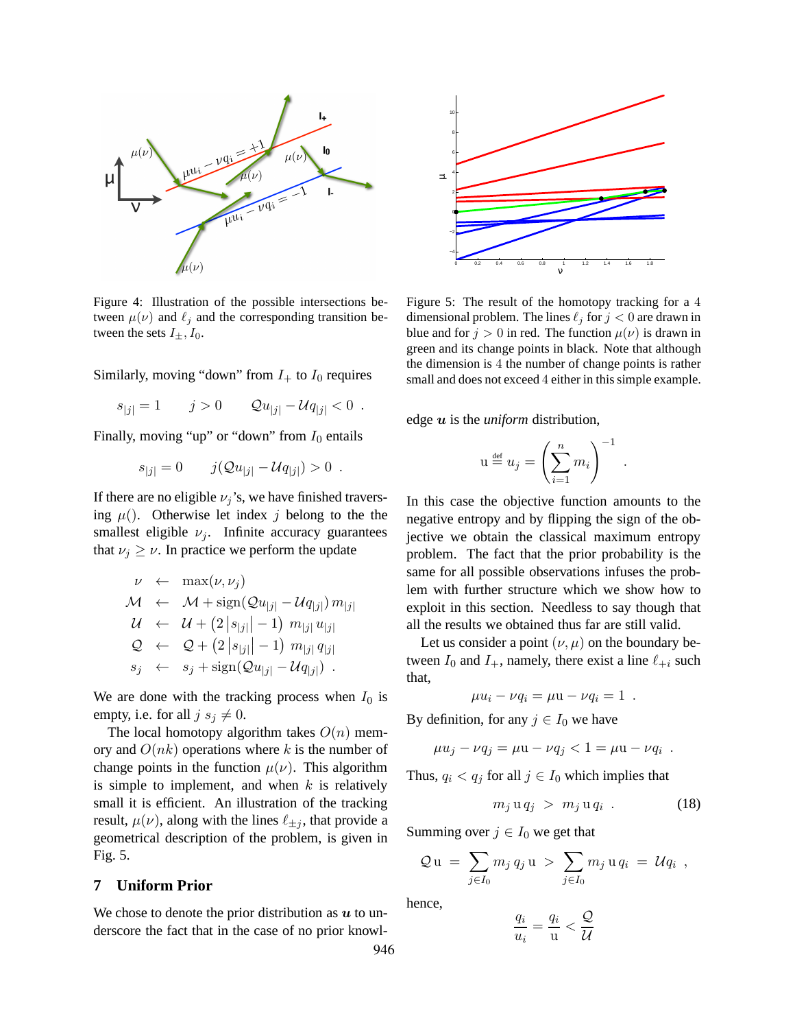

Figure 4: Illustration of the possible intersections between  $\mu(\nu)$  and  $\ell_i$  and the corresponding transition between the sets  $I_{\pm}$ ,  $I_0$ .

Similarly, moving "down" from  $I_+$  to  $I_0$  requires

$$
s_{|j|} = 1 \t j > 0 \t Qu_{|j|} - Uq_{|j|} < 0.
$$

Finally, moving "up" or "down" from  $I_0$  entails

$$
s_{|j|} = 0 \t j(Qu_{|j|} - Uq_{|j|}) > 0.
$$

If there are no eligible  $\nu_i$ 's, we have finished traversing  $\mu$ (). Otherwise let index j belong to the the smallest eligible  $\nu_i$ . Infinite accuracy guarantees that  $\nu_j \geq \nu$ . In practice we perform the update

$$
\nu \leftarrow \max(\nu, \nu_j)
$$
  
\n
$$
\mathcal{M} \leftarrow \mathcal{M} + \text{sign}(\mathcal{Q}u_{|j|} - \mathcal{U}q_{|j|}) m_{|j|}
$$
  
\n
$$
\mathcal{U} \leftarrow \mathcal{U} + (2|s_{|j|}|-1) m_{|j|} u_{|j|}
$$
  
\n
$$
\mathcal{Q} \leftarrow \mathcal{Q} + (2|s_{|j|}|-1) m_{|j|} q_{|j|}
$$
  
\n
$$
s_j \leftarrow s_j + \text{sign}(\mathcal{Q}u_{|j|} - \mathcal{U}q_{|j|}).
$$

We are done with the tracking process when  $I_0$  is empty, i.e. for all  $j s_j \neq 0$ .

The local homotopy algorithm takes  $O(n)$  memory and  $O(nk)$  operations where k is the number of change points in the function  $\mu(\nu)$ . This algorithm is simple to implement, and when  $k$  is relatively small it is efficient. An illustration of the tracking result,  $\mu(\nu)$ , along with the lines  $\ell_{\pm i}$ , that provide a geometrical description of the problem, is given in Fig. 5.

## **7 Uniform Prior**

We chose to denote the prior distribution as  $u$  to underscore the fact that in the case of no prior knowl-



Figure 5: The result of the homotopy tracking for a 4 dimensional problem. The lines  $\ell_j$  for  $j < 0$  are drawn in blue and for  $j > 0$  in red. The function  $\mu(\nu)$  is drawn in green and its change points in black. Note that although the dimension is 4 the number of change points is rather small and does not exceed 4 either in this simple example.

edge  $u$  is the *uniform* distribution,

$$
\mathbf{u} \stackrel{\text{\tiny def}}{=} u_j = \left(\sum_{i=1}^n m_i\right)^{-1}
$$

.

In this case the objective function amounts to the negative entropy and by flipping the sign of the objective we obtain the classical maximum entropy problem. The fact that the prior probability is the same for all possible observations infuses the problem with further structure which we show how to exploit in this section. Needless to say though that all the results we obtained thus far are still valid.

Let us consider a point  $(\nu, \mu)$  on the boundary between  $I_0$  and  $I_+$ , namely, there exist a line  $\ell_{+i}$  such that,

$$
\mu u_i - \nu q_i = \mu u - \nu q_i = 1.
$$

By definition, for any  $j \in I_0$  we have

$$
\mu u_j - \nu q_j = \mu u - \nu q_j < 1 = \mu u - \nu q_i .
$$

Thus,  $q_i < q_j$  for all  $j \in I_0$  which implies that

$$
m_j \mathbf{u} q_j > m_j \mathbf{u} q_i . \qquad (18)
$$

Summing over  $j \in I_0$  we get that

$$
Q u = \sum_{j \in I_0} m_j q_j u > \sum_{j \in I_0} m_j u q_i = U q_i ,
$$

hence,

$$
\frac{q_i}{u_i} = \frac{q_i}{u} < \frac{Q}{U}
$$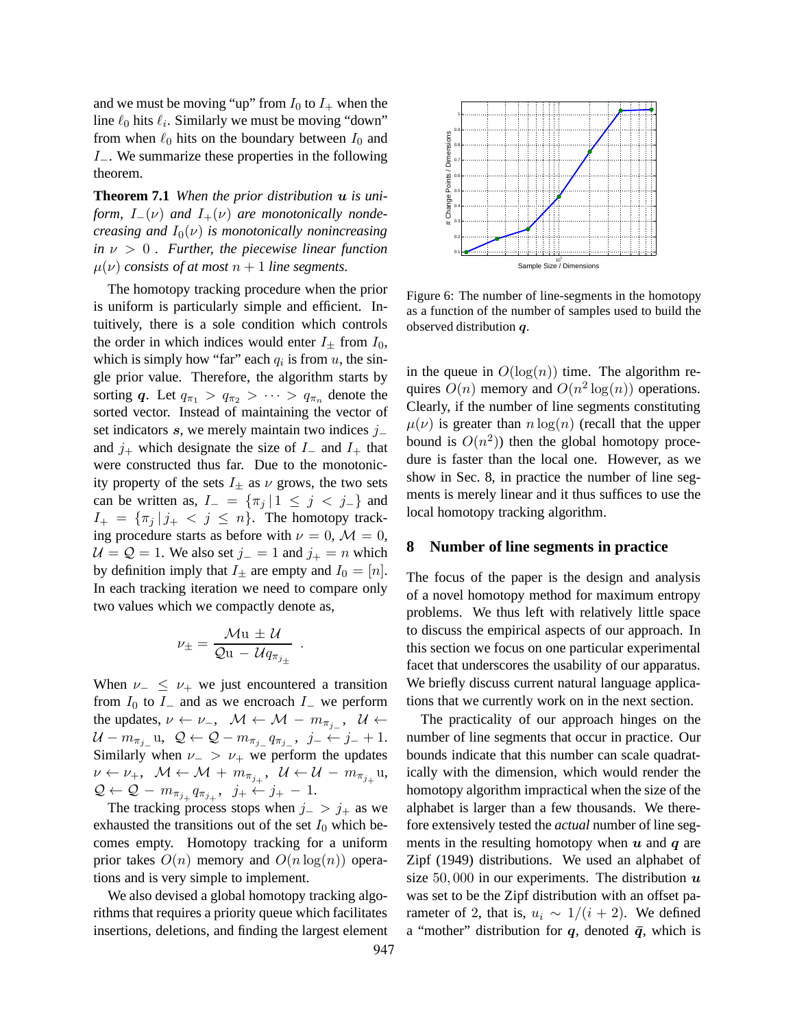and we must be moving "up" from  $I_0$  to  $I_+$  when the line  $\ell_0$  hits  $\ell_i$ . Similarly we must be moving "down" from when  $\ell_0$  hits on the boundary between  $I_0$  and I−. We summarize these properties in the following theorem.

**Theorem 7.1** *When the prior distribution* u *is uniform,*  $I_-(\nu)$  *and*  $I_+(\nu)$  *are monotonically nondecreasing and*  $I_0(\nu)$  *is monotonically nonincreasing*  $in \nu > 0$ . Further, the piecewise linear function  $\mu(\nu)$  *consists of at most*  $n+1$  *line segments.* 

The homotopy tracking procedure when the prior is uniform is particularly simple and efficient. Intuitively, there is a sole condition which controls the order in which indices would enter  $I_{\pm}$  from  $I_0$ , which is simply how "far" each  $q_i$  is from  $u$ , the single prior value. Therefore, the algorithm starts by sorting q. Let  $q_{\pi_1} > q_{\pi_2} > \cdots > q_{\pi_n}$  denote the sorted vector. Instead of maintaining the vector of set indicators s, we merely maintain two indices j− and  $j_+$  which designate the size of  $I_-\,$  and  $I_+\,$  that were constructed thus far. Due to the monotonicity property of the sets  $I_+$  as  $\nu$  grows, the two sets can be written as,  $I_-=\{\pi_j | 1 \leq j < j_-\}$  and  $I_+ = {\pi_j | j_+ < j \leq n}$ . The homotopy tracking procedure starts as before with  $\nu = 0$ ,  $\mathcal{M} = 0$ ,  $U = Q = 1$ . We also set  $j = 1$  and  $j_{+} = n$  which by definition imply that  $I_{\pm}$  are empty and  $I_0 = [n]$ . In each tracking iteration we need to compare only two values which we compactly denote as,

$$
\nu_{\pm} = \frac{\mathcal{M} \mathbf{u} \pm \mathcal{U}}{\mathcal{Q} \mathbf{u} - \mathcal{U} q_{\pi_{j_{\pm}}}}
$$

.

When  $\nu_{-} \leq \nu_{+}$  we just encountered a transition from  $I_0$  to  $I_-\,$  and as we encroach  $I_-\,$  we perform the updates,  $\nu \leftarrow \nu_-, \quad \mathcal{M} \leftarrow \mathcal{M} - m_{\pi_{j_-}}, \quad \mathcal{U} \leftarrow$  $\mathcal{U} - m_{\pi_{j-}}\mathbf{u}, \ \ \mathcal{Q} \leftarrow \mathcal{Q} - m_{\pi_{j-}}q_{\pi_{j-}}, \ \ j_-\leftarrow j_- + 1.$ Similarly when  $\nu_{-} > \nu_{+}$  we perform the updates  $\nu \leftarrow \nu_+, \;\; \mathcal{M} \leftarrow \mathcal{M} \; + \; m_{\pi_{j_+}}, \;\; \mathcal{U} \leftarrow \mathcal{U} \; - \; m_{\pi_{j_+}} \mathrm{u},$  $\mathcal{Q} \leftarrow \mathcal{Q} - m_{\pi_{j_+}} q_{\pi_{j_+}}, \ \ j_+ \leftarrow j_+ - 1.$ 

The tracking process stops when  $j_->j_+$  as we exhausted the transitions out of the set  $I_0$  which becomes empty. Homotopy tracking for a uniform prior takes  $O(n)$  memory and  $O(n \log(n))$  operations and is very simple to implement.

We also devised a global homotopy tracking algorithms that requires a priority queue which facilitates insertions, deletions, and finding the largest element



Figure 6: The number of line-segments in the homotopy as a function of the number of samples used to build the observed distribution q.

in the queue in  $O(log(n))$  time. The algorithm requires  $O(n)$  memory and  $O(n^2 \log(n))$  operations. Clearly, if the number of line segments constituting  $\mu(\nu)$  is greater than  $n \log(n)$  (recall that the upper bound is  $O(n^2)$ ) then the global homotopy procedure is faster than the local one. However, as we show in Sec. 8, in practice the number of line segments is merely linear and it thus suffices to use the local homotopy tracking algorithm.

#### **8 Number of line segments in practice**

The focus of the paper is the design and analysis of a novel homotopy method for maximum entropy problems. We thus left with relatively little space to discuss the empirical aspects of our approach. In this section we focus on one particular experimental facet that underscores the usability of our apparatus. We briefly discuss current natural language applications that we currently work on in the next section.

The practicality of our approach hinges on the number of line segments that occur in practice. Our bounds indicate that this number can scale quadratically with the dimension, which would render the homotopy algorithm impractical when the size of the alphabet is larger than a few thousands. We therefore extensively tested the *actual* number of line segments in the resulting homotopy when  $u$  and  $q$  are Zipf (1949) distributions. We used an alphabet of size 50,000 in our experiments. The distribution  $\boldsymbol{u}$ was set to be the Zipf distribution with an offset parameter of 2, that is,  $u_i \sim 1/(i + 2)$ . We defined a "mother" distribution for  $q$ , denoted  $\bar{q}$ , which is